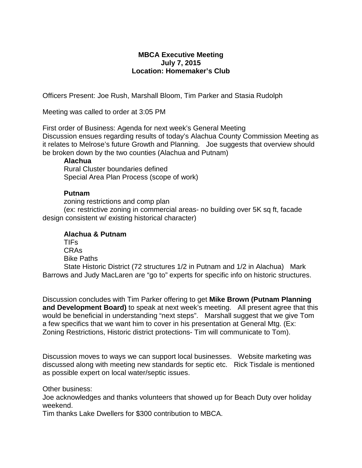## **MBCA Executive Meeting July 7, 2015 Location: Homemaker's Club**

Officers Present: Joe Rush, Marshall Bloom, Tim Parker and Stasia Rudolph

Meeting was called to order at 3:05 PM

First order of Business: Agenda for next week's General Meeting Discussion ensues regarding results of today's Alachua County Commission Meeting as it relates to Melrose's future Growth and Planning. Joe suggests that overview should be broken down by the two counties (Alachua and Putnam)

## **Alachua**

Rural Cluster boundaries defined Special Area Plan Process (scope of work)

## **Putnam**

zoning restrictions and comp plan

(ex: restrictive zoning in commercial areas- no building over 5K sq ft, facade design consistent w/ existing historical character)

## **Alachua & Putnam**

TIFs CRAs Bike Paths

State Historic District (72 structures 1/2 in Putnam and 1/2 in Alachua) Mark Barrows and Judy MacLaren are "go to" experts for specific info on historic structures.

Discussion concludes with Tim Parker offering to get **Mike Brown (Putnam Planning and Development Board)** to speak at next week's meeting. All present agree that this would be beneficial in understanding "next steps". Marshall suggest that we give Tom a few specifics that we want him to cover in his presentation at General Mtg. (Ex: Zoning Restrictions, Historic district protections- Tim will communicate to Tom).

Discussion moves to ways we can support local businesses. Website marketing was discussed along with meeting new standards for septic etc. Rick Tisdale is mentioned as possible expert on local water/septic issues.

Other business:

Joe acknowledges and thanks volunteers that showed up for Beach Duty over holiday weekend.

Tim thanks Lake Dwellers for \$300 contribution to MBCA.